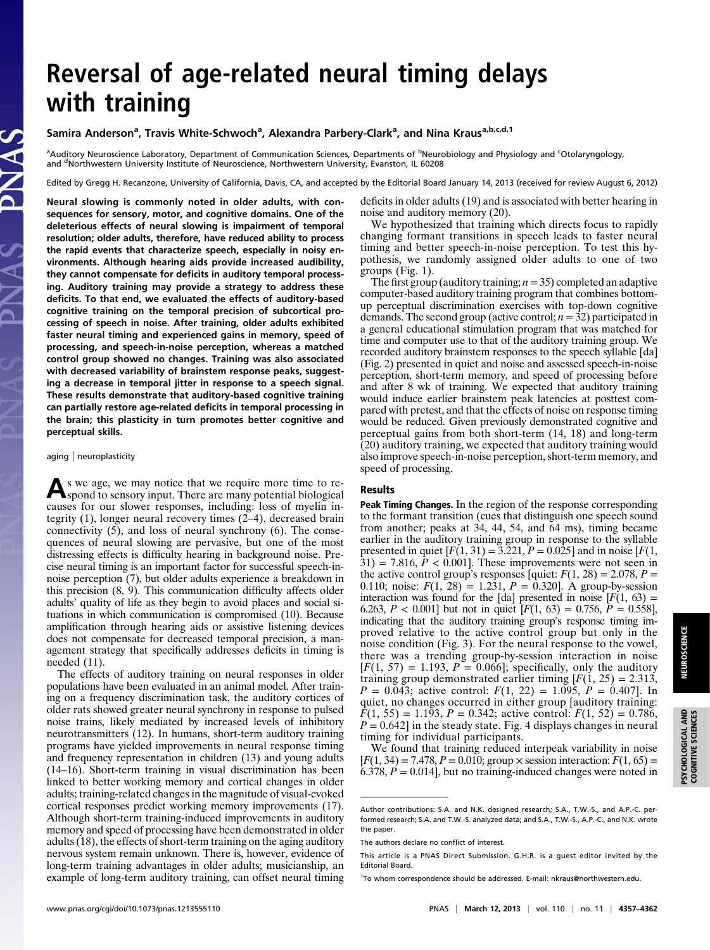# Reversal of age-related neural timing delays with training

# Samira Anderson<sup>a</sup>, Travis White-Schwoch<sup>a</sup>, Alexandra Parbery-Clark<sup>a</sup>, and Nina Kraus<sup>a,b,c,d,1</sup>

<sup>a</sup>Auditory Neuroscience Laboratory, Department of Communication Sciences, Departments of <sup>b</sup>Neurobiology and Physiology and <sup>c</sup>Otolaryngology, and <sup>d</sup>Northwestern University Institute of Neuroscience, Northwestern University, Evanston, IL 60208

Edited by Gregg H. Recanzone, University of California, Davis, CA, and accepted by the Editorial Board January 14, 2013 (received for review August 6, 2012)

Neural slowing is commonly noted in older adults, with consequences for sensory, motor, and cognitive domains. One of the deleterious effects of neural slowing is impairment of temporal resolution; older adults, therefore, have reduced ability to process the rapid events that characterize speech, especially in noisy environments. Although hearing aids provide increased audibility, they cannot compensate for deficits in auditory temporal processing. Auditory training may provide a strategy to address these deficits. To that end, we evaluated the effects of auditory-based cognitive training on the temporal precision of subcortical processing of speech in noise. After training, older adults exhibited faster neural timing and experienced gains in memory, speed of processing, and speech-in-noise perception, whereas a matched control group showed no changes. Training was also associated with decreased variability of brainstem response peaks, suggesting a decrease in temporal jitter in response to a speech signal. These results demonstrate that auditory-based cognitive training can partially restore age-related deficits in temporal processing in the brain; this plasticity in turn promotes better cognitive and perceptual skills.

#### aging | neuroplasticity

As we age, we may notice that we require more time to re-spond to sensory input. There are many potential biological causes for our slower responses, including: loss of myelin integrity (1), longer neural recovery times (2–4), decreased brain connectivity (5), and loss of neural synchrony (6). The consequences of neural slowing are pervasive, but one of the most distressing effects is difficulty hearing in background noise. Precise neural timing is an important factor for successful speech-innoise perception (7), but older adults experience a breakdown in this precision (8, 9). This communication difficulty affects older adults' quality of life as they begin to avoid places and social situations in which communication is compromised (10). Because amplification through hearing aids or assistive listening devices does not compensate for decreased temporal precision, a management strategy that specifically addresses deficits in timing is needed (11).

The effects of auditory training on neural responses in older populations have been evaluated in an animal model. After training on a frequency discrimination task, the auditory cortices of older rats showed greater neural synchrony in response to pulsed noise trains, likely mediated by increased levels of inhibitory neurotransmitters (12). In humans, short-term auditory training programs have yielded improvements in neural response timing and frequency representation in children (13) and young adults (14–16). Short-term training in visual discrimination has been linked to better working memory and cortical changes in older adults; training-related changes in the magnitude of visual-evoked cortical responses predict working memory improvements (17). Although short-term training-induced improvements in auditory memory and speed of processing have been demonstrated in older adults (18), the effects of short-term training on the aging auditory nervous system remain unknown. There is, however, evidence of long-term training advantages in older adults; musicianship, an example of long-term auditory training, can offset neural timing deficits in older adults (19) and is associated with better hearing in noise and auditory memory (20).

We hypothesized that training which directs focus to rapidly changing formant transitions in speech leads to faster neural timing and better speech-in-noise perception. To test this hypothesis, we randomly assigned older adults to one of two groups (Fig. 1).

The first group (auditory training;  $n = 35$ ) completed an adaptive computer-based auditory training program that combines bottomup perceptual discrimination exercises with top-down cognitive demands. The second group (active control;  $n = 32$ ) participated in a general educational stimulation program that was matched for time and computer use to that of the auditory training group. We recorded auditory brainstem responses to the speech syllable [da] (Fig. 2) presented in quiet and noise and assessed speech-in-noise perception, short-term memory, and speed of processing before and after 8 wk of training. We expected that auditory training would induce earlier brainstem peak latencies at posttest compared with pretest, and that the effects of noise on response timing would be reduced. Given previously demonstrated cognitive and perceptual gains from both short-term (14, 18) and long-term (20) auditory training, we expected that auditory training would also improve speech-in-noise perception, short-term memory, and speed of processing.

## Results

Peak Timing Changes. In the region of the response corresponding to the formant transition (cues that distinguish one speech sound from another; peaks at 34, 44, 54, and 64 ms), timing became earlier in the auditory training group in response to the syllable presented in quiet  $[F(1, 31) = 3.221, P = 0.025]$  and in noise  $[F(1, 31) = 3.221, P = 0.025]$  $31$ ) = 7.816,  $P < 0.001$ . These improvements were not seen in the active control group's responses [quiet:  $F(1, 28) = 2.078$ ,  $P =$ 0.110; noise:  $F(1, 28) = 1.231$ ,  $P = 0.320$ . A group-by-session interaction was found for the [da] presented in noise  $[F(1, 63) =$ 6.263,  $P < 0.001$ ] but not in quiet  $[F(1, 63) = 0.756, P = 0.558]$ , indicating that the auditory training group's response timing improved relative to the active control group but only in the noise condition (Fig. 3). For the neural response to the vowel, there was a trending group-by-session interaction in noise  $[F(1, 57) = 1.193, P = 0.066]$ ; specifically, only the auditory training group demonstrated earlier timing  $[F(1, 25) = 2.313]$ ,  $P = 0.043$ ; active control:  $F(1, 22) = 1.095$ ,  $P = 0.407$ . In quiet, no changes occurred in either group [auditory training:  $F(1, 55) = 1.193$ ,  $P = 0.342$ ; active control:  $F(1, 52) = 0.786$ ,  $P = 0.642$  in the steady state. Fig. 4 displays changes in neural timing for individual participants.

We found that training reduced interpeak variability in noise  $[F(1, 34) = 7.478, P = 0.010$ ; group  $\times$  session interaction:  $F(1, 65) =$  $6.378, P = 0.014$ , but no training-induced changes were noted in PSYCHOLOGICAL AND COGNITIVE SCIENCES

**PSYCHOLOGICAL AND**<br>COGNITIVE SCIENCES

Author contributions: S.A. and N.K. designed research; S.A., T.W.-S., and A.P.-C. performed research; S.A. and T.W.-S. analyzed data; and S.A., T.W.-S., A.P.-C., and N.K. wrote the paper.

The authors declare no conflict of interest.

This article is a PNAS Direct Submission. G.H.R. is a guest editor invited by the Editorial Board.

<sup>&</sup>lt;sup>1</sup>To whom correspondence should be addressed. E-mail: [nkraus@northwestern.edu.](mailto:nkraus@northwestern.edu)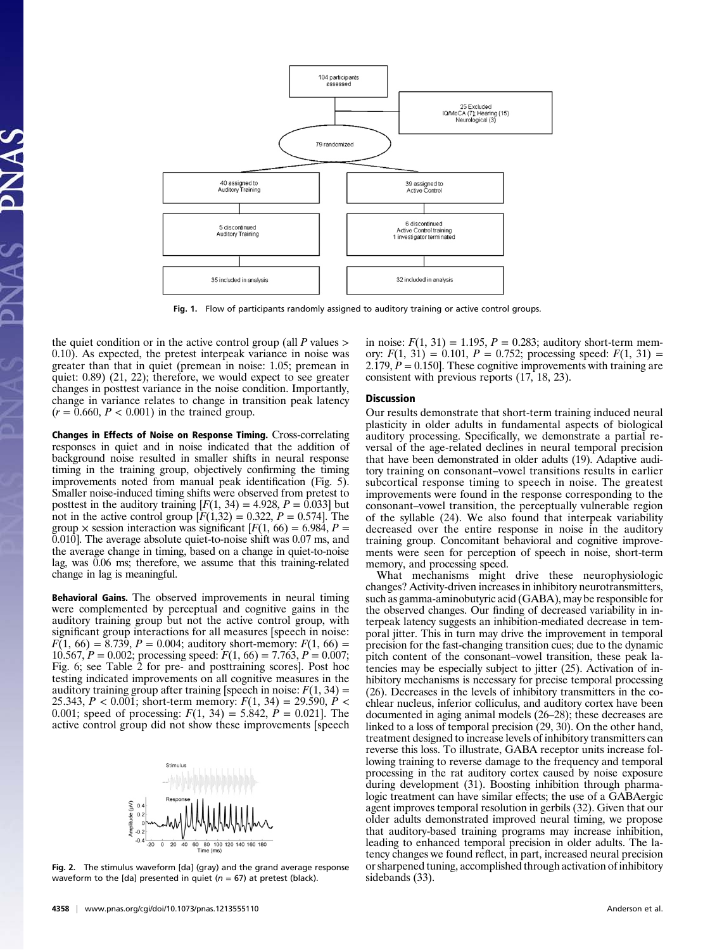

Fig. 1. Flow of participants randomly assigned to auditory training or active control groups.

the quiet condition or in the active control group (all  $P$  values  $>$ 0.10). As expected, the pretest interpeak variance in noise was greater than that in quiet (premean in noise: 1.05; premean in quiet: 0.89) (21, 22); therefore, we would expect to see greater changes in posttest variance in the noise condition. Importantly, change in variance relates to change in transition peak latency  $(r = 0.660, P < 0.001)$  in the trained group.

Changes in Effects of Noise on Response Timing. Cross-correlating responses in quiet and in noise indicated that the addition of background noise resulted in smaller shifts in neural response timing in the training group, objectively confirming the timing improvements noted from manual peak identification (Fig. 5). Smaller noise-induced timing shifts were observed from pretest to posttest in the auditory training  $[F(1, 34) = 4.928, P = 0.033]$  but not in the active control group  $[*F*(1,32) = 0.322, *P* = 0.574].$  The group  $\times$  session interaction was significant  $[F(1, 66) = 6.984, P =$ 0.010]. The average absolute quiet-to-noise shift was 0.07 ms, and the average change in timing, based on a change in quiet-to-noise lag, was 0.06 ms; therefore, we assume that this training-related change in lag is meaningful.

**Behavioral Gains.** The observed improvements in neural timing were complemented by perceptual and cognitive gains in the auditory training group but not the active control group, with significant group interactions for all measures [speech in noise:  $F(1, 66) = 8.739$ ,  $P = 0.004$ ; auditory short-memory:  $F(1, 66) =$ 10.567,  $P = 0.002$ ; processing speed:  $F(1, 66) = 7.763$ ,  $P = 0.007$ ; Fig. 6; see Table 2 for pre- and posttraining scores]. Post hoc testing indicated improvements on all cognitive measures in the auditory training group after training [speech in noise:  $F(1, 34) =$ 25.343,  $P < 0.001$ ; short-term memory:  $F(1, 34) = 29.590$ ,  $P <$ 0.001; speed of processing:  $F(1, 34) = 5.842$ ,  $P = 0.021$ . The active control group did not show these improvements [speech



Fig. 2. The stimulus waveform [da] (gray) and the grand average response waveform to the [da] presented in quiet ( $n = 67$ ) at pretest (black).

in noise:  $F(1, 31) = 1.195$ ,  $P = 0.283$ ; auditory short-term memory:  $F(1, 31) = 0.101$ ,  $P = 0.752$ ; processing speed:  $F(1, 31) =$ 2.179,  $P = 0.150$ . These cognitive improvements with training are consistent with previous reports (17, 18, 23).

#### Discussion

Our results demonstrate that short-term training induced neural plasticity in older adults in fundamental aspects of biological auditory processing. Specifically, we demonstrate a partial reversal of the age-related declines in neural temporal precision that have been demonstrated in older adults (19). Adaptive auditory training on consonant–vowel transitions results in earlier subcortical response timing to speech in noise. The greatest improvements were found in the response corresponding to the consonant–vowel transition, the perceptually vulnerable region of the syllable (24). We also found that interpeak variability decreased over the entire response in noise in the auditory training group. Concomitant behavioral and cognitive improvements were seen for perception of speech in noise, short-term memory, and processing speed.

What mechanisms might drive these neurophysiologic changes? Activity-driven increases in inhibitory neurotransmitters, such as gamma-aminobutyric acid (GABA), may be responsible for the observed changes. Our finding of decreased variability in interpeak latency suggests an inhibition-mediated decrease in temporal jitter. This in turn may drive the improvement in temporal precision for the fast-changing transition cues; due to the dynamic pitch content of the consonant–vowel transition, these peak latencies may be especially subject to jitter (25). Activation of inhibitory mechanisms is necessary for precise temporal processing (26). Decreases in the levels of inhibitory transmitters in the cochlear nucleus, inferior colliculus, and auditory cortex have been documented in aging animal models (26–28); these decreases are linked to a loss of temporal precision (29, 30). On the other hand, treatment designed to increase levels of inhibitory transmitters can reverse this loss. To illustrate, GABA receptor units increase following training to reverse damage to the frequency and temporal processing in the rat auditory cortex caused by noise exposure during development (31). Boosting inhibition through pharmalogic treatment can have similar effects; the use of a GABAergic agent improves temporal resolution in gerbils (32). Given that our older adults demonstrated improved neural timing, we propose that auditory-based training programs may increase inhibition, leading to enhanced temporal precision in older adults. The latency changes we found reflect, in part, increased neural precision or sharpened tuning, accomplished through activation of inhibitory sidebands (33).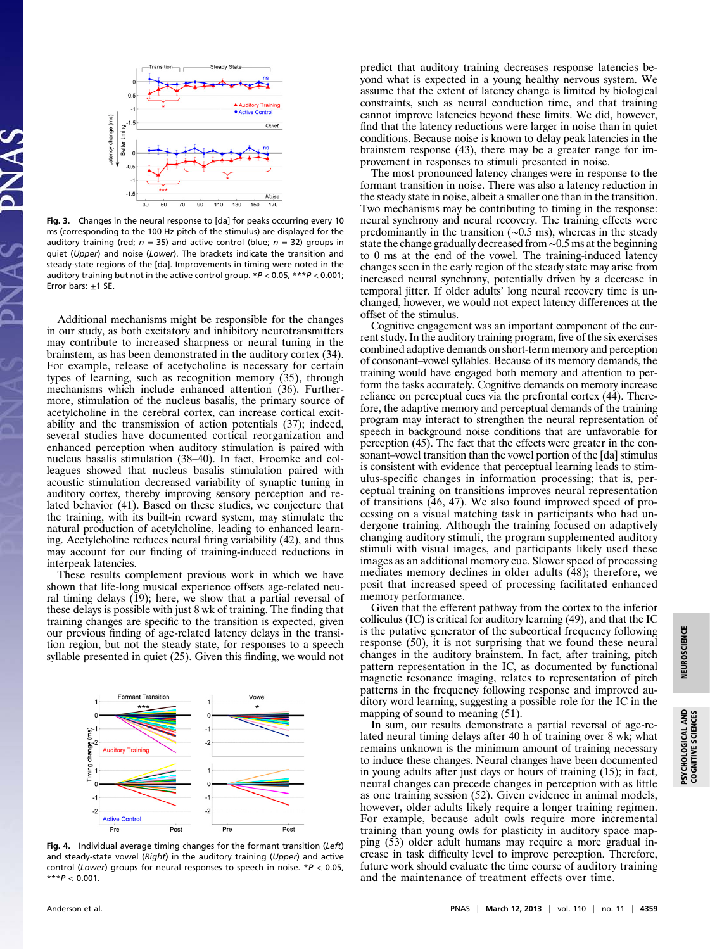

Fig. 3. Changes in the neural response to [da] for peaks occurring every 10 ms (corresponding to the 100 Hz pitch of the stimulus) are displayed for the auditory training (red;  $n = 35$ ) and active control (blue;  $n = 32$ ) groups in quiet (Upper) and noise (Lower). The brackets indicate the transition and steady-state regions of the [da]. Improvements in timing were noted in the auditory training but not in the active control group.  $*P < 0.05$ ,  $***P < 0.001$ ; Error bars:  $+1$  SE.

Additional mechanisms might be responsible for the changes in our study, as both excitatory and inhibitory neurotransmitters may contribute to increased sharpness or neural tuning in the brainstem, as has been demonstrated in the auditory cortex (34). For example, release of acetycholine is necessary for certain types of learning, such as recognition memory (35), through mechanisms which include enhanced attention (36). Furthermore, stimulation of the nucleus basalis, the primary source of acetylcholine in the cerebral cortex, can increase cortical excitability and the transmission of action potentials (37); indeed, several studies have documented cortical reorganization and enhanced perception when auditory stimulation is paired with nucleus basalis stimulation (38–40). In fact, Froemke and colleagues showed that nucleus basalis stimulation paired with acoustic stimulation decreased variability of synaptic tuning in auditory cortex, thereby improving sensory perception and related behavior (41). Based on these studies, we conjecture that the training, with its built-in reward system, may stimulate the natural production of acetylcholine, leading to enhanced learning. Acetylcholine reduces neural firing variability (42), and thus may account for our finding of training-induced reductions in interpeak latencies.

These results complement previous work in which we have shown that life-long musical experience offsets age-related neural timing delays (19); here, we show that a partial reversal of these delays is possible with just 8 wk of training. The finding that training changes are specific to the transition is expected, given our previous finding of age-related latency delays in the transition region, but not the steady state, for responses to a speech syllable presented in quiet (25). Given this finding, we would not



Fig. 4. Individual average timing changes for the formant transition (Left) and steady-state vowel (Right) in the auditory training (Upper) and active control (Lower) groups for neural responses to speech in noise.  $*P < 0.05$ ,  $***P < 0.001$ .

predict that auditory training decreases response latencies beyond what is expected in a young healthy nervous system. We assume that the extent of latency change is limited by biological constraints, such as neural conduction time, and that training cannot improve latencies beyond these limits. We did, however, find that the latency reductions were larger in noise than in quiet conditions. Because noise is known to delay peak latencies in the brainstem response (43), there may be a greater range for improvement in responses to stimuli presented in noise.

The most pronounced latency changes were in response to the formant transition in noise. There was also a latency reduction in the steady state in noise, albeit a smaller one than in the transition. Two mechanisms may be contributing to timing in the response: neural synchrony and neural recovery. The training effects were predominantly in the transition (∼0.5 ms), whereas in the steady state the change gradually decreased from ∼0.5 ms at the beginning to 0 ms at the end of the vowel. The training-induced latency changes seen in the early region of the steady state may arise from increased neural synchrony, potentially driven by a decrease in temporal jitter. If older adults' long neural recovery time is unchanged, however, we would not expect latency differences at the offset of the stimulus.

Cognitive engagement was an important component of the current study. In the auditory training program, five of the six exercises combined adaptive demands on short-term memory and perception of consonant–vowel syllables. Because of its memory demands, the training would have engaged both memory and attention to perform the tasks accurately. Cognitive demands on memory increase reliance on perceptual cues via the prefrontal cortex (44). Therefore, the adaptive memory and perceptual demands of the training program may interact to strengthen the neural representation of speech in background noise conditions that are unfavorable for perception (45). The fact that the effects were greater in the consonant–vowel transition than the vowel portion of the [da] stimulus is consistent with evidence that perceptual learning leads to stimulus-specific changes in information processing; that is, perceptual training on transitions improves neural representation of transitions (46, 47). We also found improved speed of processing on a visual matching task in participants who had undergone training. Although the training focused on adaptively changing auditory stimuli, the program supplemented auditory stimuli with visual images, and participants likely used these images as an additional memory cue. Slower speed of processing mediates memory declines in older adults (48); therefore, we posit that increased speed of processing facilitated enhanced memory performance.

Given that the efferent pathway from the cortex to the inferior colliculus (IC) is critical for auditory learning (49), and that the IC is the putative generator of the subcortical frequency following response (50), it is not surprising that we found these neural changes in the auditory brainstem. In fact, after training, pitch pattern representation in the IC, as documented by functional magnetic resonance imaging, relates to representation of pitch patterns in the frequency following response and improved auditory word learning, suggesting a possible role for the IC in the mapping of sound to meaning (51).

In sum, our results demonstrate a partial reversal of age-related neural timing delays after 40 h of training over 8 wk; what remains unknown is the minimum amount of training necessary to induce these changes. Neural changes have been documented in young adults after just days or hours of training (15); in fact, neural changes can precede changes in perception with as little as one training session (52). Given evidence in animal models, however, older adults likely require a longer training regimen. For example, because adult owls require more incremental training than young owls for plasticity in auditory space mapping (53) older adult humans may require a more gradual increase in task difficulty level to improve perception. Therefore, future work should evaluate the time course of auditory training and the maintenance of treatment effects over time.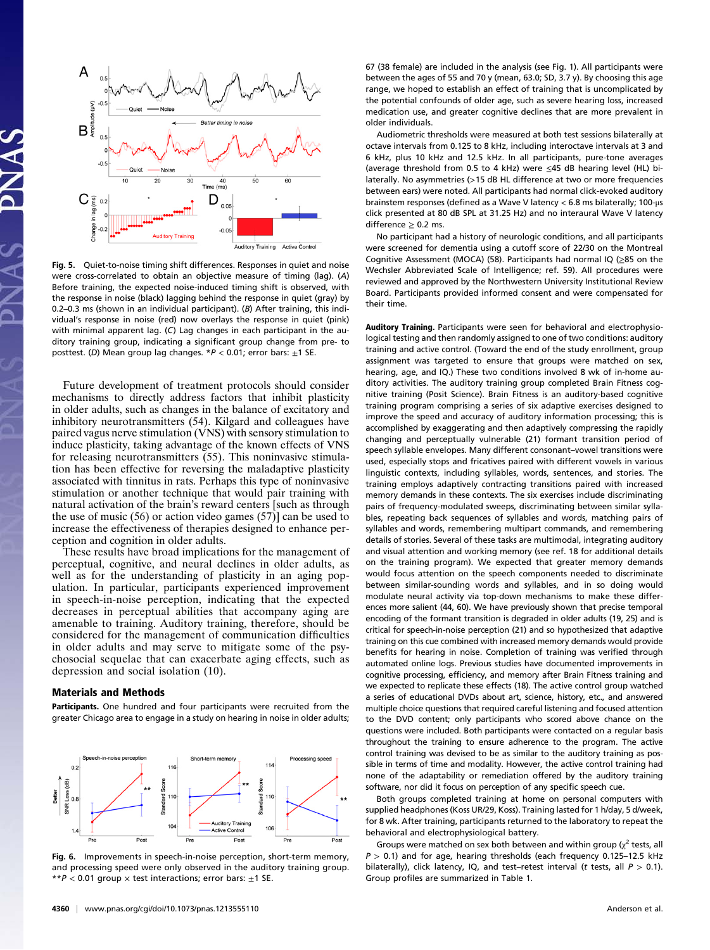

Fig. 5. Quiet-to-noise timing shift differences. Responses in quiet and noise were cross-correlated to obtain an objective measure of timing (lag). (A) Before training, the expected noise-induced timing shift is observed, with the response in noise (black) lagging behind the response in quiet (gray) by 0.2–0.3 ms (shown in an individual participant). (B) After training, this individual's response in noise (red) now overlays the response in quiet (pink) with minimal apparent lag. (C) Lag changes in each participant in the auditory training group, indicating a significant group change from pre- to posttest. (D) Mean group lag changes.  $*P < 0.01$ ; error bars:  $\pm 1$  SE.

Future development of treatment protocols should consider mechanisms to directly address factors that inhibit plasticity in older adults, such as changes in the balance of excitatory and inhibitory neurotransmitters (54). Kilgard and colleagues have paired vagus nerve stimulation (VNS) with sensory stimulation to induce plasticity, taking advantage of the known effects of VNS for releasing neurotransmitters (55). This noninvasive stimulation has been effective for reversing the maladaptive plasticity associated with tinnitus in rats. Perhaps this type of noninvasive stimulation or another technique that would pair training with natural activation of the brain's reward centers [such as through the use of music (56) or action video games (57)] can be used to increase the effectiveness of therapies designed to enhance perception and cognition in older adults.

These results have broad implications for the management of perceptual, cognitive, and neural declines in older adults, as well as for the understanding of plasticity in an aging population. In particular, participants experienced improvement in speech-in-noise perception, indicating that the expected decreases in perceptual abilities that accompany aging are amenable to training. Auditory training, therefore, should be considered for the management of communication difficulties in older adults and may serve to mitigate some of the psychosocial sequelae that can exacerbate aging effects, such as depression and social isolation (10).

## Materials and Methods

Participants. One hundred and four participants were recruited from the greater Chicago area to engage in a study on hearing in noise in older adults;



Fig. 6. Improvements in speech-in-noise perception, short-term memory, and processing speed were only observed in the auditory training group. \*\*P < 0.01 group  $\times$  test interactions; error bars:  $\pm$ 1 SE.

67 (38 female) are included in the analysis (see Fig. 1). All participants were between the ages of 55 and 70 y (mean, 63.0; SD, 3.7 y). By choosing this age range, we hoped to establish an effect of training that is uncomplicated by the potential confounds of older age, such as severe hearing loss, increased medication use, and greater cognitive declines that are more prevalent in older individuals.

Audiometric thresholds were measured at both test sessions bilaterally at octave intervals from 0.125 to 8 kHz, including interoctave intervals at 3 and 6 kHz, plus 10 kHz and 12.5 kHz. In all participants, pure-tone averages (average threshold from 0.5 to 4 kHz) were ≤45 dB hearing level (HL) bilaterally. No asymmetries (>15 dB HL difference at two or more frequencies between ears) were noted. All participants had normal click-evoked auditory brainstem responses (defined as a Wave V latency < 6.8 ms bilaterally; 100-μs click presented at 80 dB SPL at 31.25 Hz) and no interaural Wave V latency difference  $> 0.2$  ms.

No participant had a history of neurologic conditions, and all participants were screened for dementia using a cutoff score of 22/30 on the Montreal Cognitive Assessment (MOCA) (58). Participants had normal IQ (≥85 on the Wechsler Abbreviated Scale of Intelligence; ref. 59). All procedures were reviewed and approved by the Northwestern University Institutional Review Board. Participants provided informed consent and were compensated for their time.

Auditory Training. Participants were seen for behavioral and electrophysiological testing and then randomly assigned to one of two conditions: auditory training and active control. (Toward the end of the study enrollment, group assignment was targeted to ensure that groups were matched on sex, hearing, age, and IQ.) These two conditions involved 8 wk of in-home auditory activities. The auditory training group completed Brain Fitness cognitive training (Posit Science). Brain Fitness is an auditory-based cognitive training program comprising a series of six adaptive exercises designed to improve the speed and accuracy of auditory information processing; this is accomplished by exaggerating and then adaptively compressing the rapidly changing and perceptually vulnerable (21) formant transition period of speech syllable envelopes. Many different consonant–vowel transitions were used, especially stops and fricatives paired with different vowels in various linguistic contexts, including syllables, words, sentences, and stories. The training employs adaptively contracting transitions paired with increased memory demands in these contexts. The six exercises include discriminating pairs of frequency-modulated sweeps, discriminating between similar syllables, repeating back sequences of syllables and words, matching pairs of syllables and words, remembering multipart commands, and remembering details of stories. Several of these tasks are multimodal, integrating auditory and visual attention and working memory (see ref. 18 for additional details on the training program). We expected that greater memory demands would focus attention on the speech components needed to discriminate between similar-sounding words and syllables, and in so doing would modulate neural activity via top-down mechanisms to make these differences more salient (44, 60). We have previously shown that precise temporal encoding of the formant transition is degraded in older adults (19, 25) and is critical for speech-in-noise perception (21) and so hypothesized that adaptive training on this cue combined with increased memory demands would provide benefits for hearing in noise. Completion of training was verified through automated online logs. Previous studies have documented improvements in cognitive processing, efficiency, and memory after Brain Fitness training and we expected to replicate these effects (18). The active control group watched a series of educational DVDs about art, science, history, etc., and answered multiple choice questions that required careful listening and focused attention to the DVD content; only participants who scored above chance on the questions were included. Both participants were contacted on a regular basis throughout the training to ensure adherence to the program. The active control training was devised to be as similar to the auditory training as possible in terms of time and modality. However, the active control training had none of the adaptability or remediation offered by the auditory training software, nor did it focus on perception of any specific speech cue.

Both groups completed training at home on personal computers with supplied headphones (Koss UR/29, Koss). Training lasted for 1 h/day, 5 d/week, for 8 wk. After training, participants returned to the laboratory to repeat the behavioral and electrophysiological battery.

Groups were matched on sex both between and within group  $(\chi^2$  tests, all  $P > 0.1$ ) and for age, hearing thresholds (each frequency 0.125–12.5 kHz bilaterally), click latency, IQ, and test-retest interval (t tests, all  $P > 0.1$ ). Group profiles are summarized in Table 1.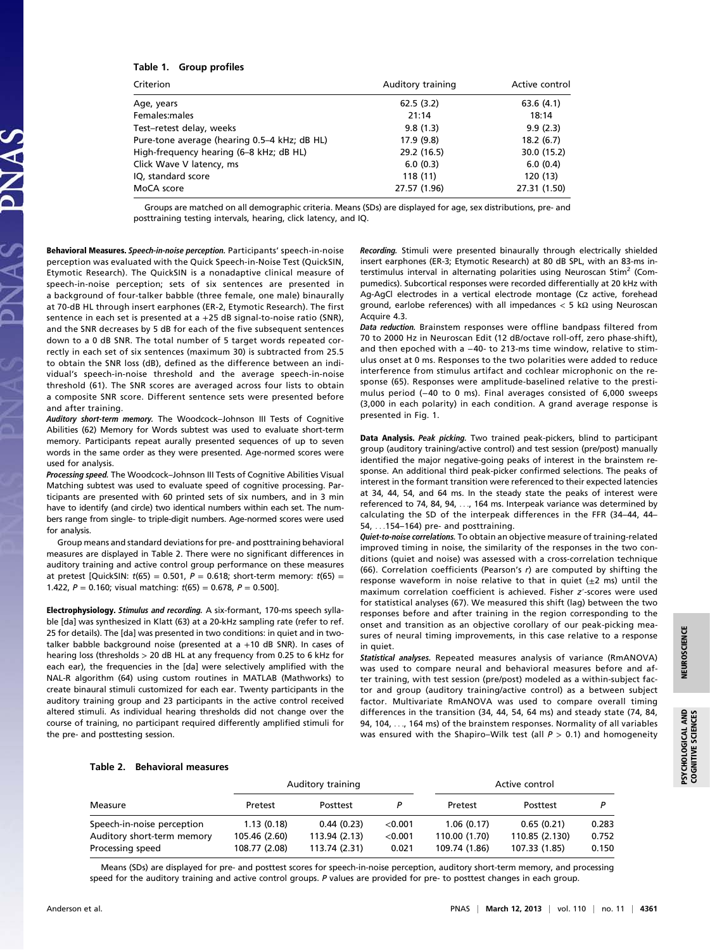# Table 1. Group profiles

| Criterion                                    | Auditory training | Active control |  |
|----------------------------------------------|-------------------|----------------|--|
| Age, years                                   | 62.5(3.2)         | 63.6(4.1)      |  |
| Females:males                                | 21:14             | 18:14          |  |
| Test–retest delay, weeks                     | 9.8(1.3)          | 9.9(2.3)       |  |
| Pure-tone average (hearing 0.5–4 kHz; dB HL) | 17.9 (9.8)        | 18.2(6.7)      |  |
| High-frequency hearing (6–8 kHz; dB HL)      | 29.2 (16.5)       | 30.0 (15.2)    |  |
| Click Wave V latency, ms                     | 6.0(0.3)          | 6.0(0.4)       |  |
| IQ, standard score                           | 118 (11)          | 120 (13)       |  |
| MoCA score                                   | 27.57 (1.96)      | 27.31 (1.50)   |  |
|                                              |                   |                |  |

Groups are matched on all demographic criteria. Means (SDs) are displayed for age, sex distributions, pre- and posttraining testing intervals, hearing, click latency, and IQ.

Behavioral Measures. Speech-in-noise perception. Participants' speech-in-noise perception was evaluated with the Quick Speech-in-Noise Test (QuickSIN, Etymotic Research). The QuickSIN is a nonadaptive clinical measure of speech-in-noise perception; sets of six sentences are presented in a background of four-talker babble (three female, one male) binaurally at 70-dB HL through insert earphones (ER-2, Etymotic Research). The first sentence in each set is presented at  $a + 25$  dB signal-to-noise ratio (SNR), and the SNR decreases by 5 dB for each of the five subsequent sentences down to a 0 dB SNR. The total number of 5 target words repeated correctly in each set of six sentences (maximum 30) is subtracted from 25.5 to obtain the SNR loss (dB), defined as the difference between an individual's speech-in-noise threshold and the average speech-in-noise threshold (61). The SNR scores are averaged across four lists to obtain a composite SNR score. Different sentence sets were presented before and after training.

Auditory short-term memory. The Woodcock–Johnson III Tests of Cognitive Abilities (62) Memory for Words subtest was used to evaluate short-term memory. Participants repeat aurally presented sequences of up to seven words in the same order as they were presented. Age-normed scores were used for analysis.

Processing speed. The Woodcock-Johnson III Tests of Cognitive Abilities Visual Matching subtest was used to evaluate speed of cognitive processing. Participants are presented with 60 printed sets of six numbers, and in 3 min have to identify (and circle) two identical numbers within each set. The numbers range from single- to triple-digit numbers. Age-normed scores were used for analysis.

Group means and standard deviations for pre- and posttraining behavioral measures are displayed in Table 2. There were no significant differences in auditory training and active control group performance on these measures at pretest [QuickSIN:  $t(65) = 0.501$ ,  $P = 0.618$ ; short-term memory:  $t(65) =$ 1.422,  $P = 0.160$ ; visual matching:  $t(65) = 0.678$ ,  $P = 0.500$ ].

Electrophysiology. Stimulus and recording. A six-formant, 170-ms speech syllable [da] was synthesized in Klatt (63) at a 20-kHz sampling rate (refer to ref. 25 for details). The [da] was presented in two conditions: in quiet and in twotalker babble background noise (presented at a +10 dB SNR). In cases of hearing loss (thresholds > 20 dB HL at any frequency from 0.25 to 6 kHz for each ear), the frequencies in the [da] were selectively amplified with the NAL-R algorithm (64) using custom routines in MATLAB (Mathworks) to create binaural stimuli customized for each ear. Twenty participants in the auditory training group and 23 participants in the active control received altered stimuli. As individual hearing thresholds did not change over the course of training, no participant required differently amplified stimuli for the pre- and posttesting session.

Recording. Stimuli were presented binaurally through electrically shielded insert earphones (ER-3; Etymotic Research) at 80 dB SPL, with an 83-ms interstimulus interval in alternating polarities using Neuroscan Stim<sup>2</sup> (Compumedics). Subcortical responses were recorded differentially at 20 kHz with Ag-AgCl electrodes in a vertical electrode montage (Cz active, forehead ground, earlobe references) with all impedances < 5 kΩ using Neuroscan Acquire 4.3.

Data reduction. Brainstem responses were offline bandpass filtered from 70 to 2000 Hz in Neuroscan Edit (12 dB/octave roll-off, zero phase-shift), and then epoched with a −40- to 213-ms time window, relative to stimulus onset at 0 ms. Responses to the two polarities were added to reduce interference from stimulus artifact and cochlear microphonic on the response (65). Responses were amplitude-baselined relative to the prestimulus period (−40 to 0 ms). Final averages consisted of 6,000 sweeps (3,000 in each polarity) in each condition. A grand average response is presented in Fig. 1.

Data Analysis. Peak picking. Two trained peak-pickers, blind to participant group (auditory training/active control) and test session (pre/post) manually identified the major negative-going peaks of interest in the brainstem response. An additional third peak-picker confirmed selections. The peaks of interest in the formant transition were referenced to their expected latencies at 34, 44, 54, and 64 ms. In the steady state the peaks of interest were referenced to 74, 84, 94, ..., 164 ms. Interpeak variance was determined by calculating the SD of the interpeak differences in the FFR (34–44, 44– 54, ...154–164) pre- and posttraining.

Quiet-to-noise correlations. To obtain an objective measure of training-related improved timing in noise, the similarity of the responses in the two conditions (quiet and noise) was assessed with a cross-correlation technique (66). Correlation coefficients (Pearson's r) are computed by shifting the response waveform in noise relative to that in quiet  $(\pm 2 \text{ ms})$  until the maximum correlation coefficient is achieved. Fisher z′-scores were used for statistical analyses (67). We measured this shift (lag) between the two responses before and after training in the region corresponding to the onset and transition as an objective corollary of our peak-picking measures of neural timing improvements, in this case relative to a response in quiet.

Statistical analyses. Repeated measures analysis of variance (RmANOVA) was used to compare neural and behavioral measures before and after training, with test session (pre/post) modeled as a within-subject factor and group (auditory training/active control) as a between subject factor. Multivariate RmANOVA was used to compare overall timing differences in the transition (34, 44, 54, 64 ms) and steady state (74, 84, 94, 104, ..., 164 ms) of the brainstem responses. Normality of all variables was ensured with the Shapiro–Wilk test (all  $P > 0.1$ ) and homogeneity

## Table 2. Behavioral measures

|                            | Auditory training |               |         | Active control |                |       |
|----------------------------|-------------------|---------------|---------|----------------|----------------|-------|
| Measure                    | Pretest           | Posttest      |         | Pretest        | Posttest       | D     |
| Speech-in-noise perception | 1.13(0.18)        | 0.44(0.23)    | < 0.001 | 1.06(0.17)     | 0.65(0.21)     | 0.283 |
| Auditory short-term memory | 105.46 (2.60)     | 113.94 (2.13) | < 0.001 | 110.00 (1.70)  | 110.85 (2.130) | 0.752 |
| Processing speed           | 108.77 (2.08)     | 113.74 (2.31) | 0.021   | 109.74 (1.86)  | 107.33 (1.85)  | 0.150 |

Means (SDs) are displayed for pre- and posttest scores for speech-in-noise perception, auditory short-term memory, and processing speed for the auditory training and active control groups. P values are provided for pre- to posttest changes in each group.